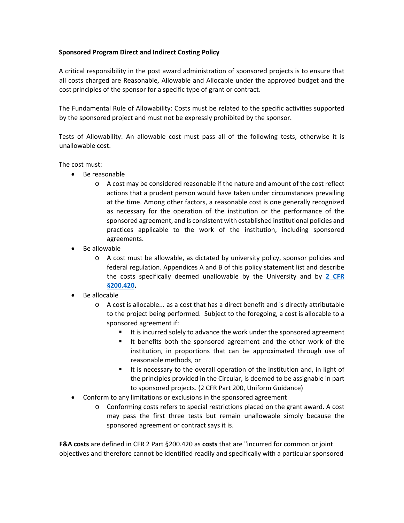# **Sponsored Program Direct and Indirect Costing Policy**

A critical responsibility in the post award administration of sponsored projects is to ensure that all costs charged are Reasonable, Allowable and Allocable under the approved budget and the cost principles of the sponsor for a specific type of grant or contract.

The Fundamental Rule of Allowability: Costs must be related to the specific activities supported by the sponsored project and must not be expressly prohibited by the sponsor.

Tests of Allowability: An allowable cost must pass all of the following tests, otherwise it is unallowable cost.

The cost must:

- Be reasonable
	- o A cost may be considered reasonable if the nature and amount of the cost reflect actions that a prudent person would have taken under circumstances prevailing at the time. Among other factors, a reasonable cost is one generally recognized as necessary for the operation of the institution or the performance of the sponsored agreement, and is consistent with established institutional policies and practices applicable to the work of the institution, including sponsored agreements.
- Be allowable
	- o A cost must be allowable, as dictated by university policy, sponsor policies and federal regulation. Appendices A and B of this policy statement list and describe the costs specifically deemed unallowable by the University and by **[2 CFR](http://www.ecfr.gov/cgi-bin/retrieveECFR?gp=&SID=b56bcd82dbaffcd807de544399e5bd55&mc=true&n=pt2.1.200&r=PART&ty=HTML%20-%20sg2.1.200_1419.sg16http://www.ecfr.gov/cgi-bin/retrieveECFR?gp=&SID=b56bcd82dbaffcd807de544399e5bd55&mc=true&n=pt2.1.200&r=PART&ty=HTML#sg2.1.200_1419.sg16)  [§200.420.](http://www.ecfr.gov/cgi-bin/retrieveECFR?gp=&SID=b56bcd82dbaffcd807de544399e5bd55&mc=true&n=pt2.1.200&r=PART&ty=HTML%20-%20sg2.1.200_1419.sg16http://www.ecfr.gov/cgi-bin/retrieveECFR?gp=&SID=b56bcd82dbaffcd807de544399e5bd55&mc=true&n=pt2.1.200&r=PART&ty=HTML#sg2.1.200_1419.sg16)**
- Be allocable
	- o A cost is allocable... as a cost that has a direct benefit and is directly attributable to the project being performed. Subject to the foregoing, a cost is allocable to a sponsored agreement if:
		- It is incurred solely to advance the work under the sponsored agreement
		- It benefits both the sponsored agreement and the other work of the institution, in proportions that can be approximated through use of reasonable methods, or
		- It is necessary to the overall operation of the institution and, in light of the principles provided in the Circular, is deemed to be assignable in part to sponsored projects. (2 CFR Part 200, Uniform Guidance)
- Conform to any limitations or exclusions in the sponsored agreement
	- o Conforming costs refers to special restrictions placed on the grant award. A cost may pass the first three tests but remain unallowable simply because the sponsored agreement or contract says it is.

**F&A costs** are defined in CFR 2 Part §200.420 as **costs** that are "incurred for common or joint objectives and therefore cannot be identified readily and specifically with a particular sponsored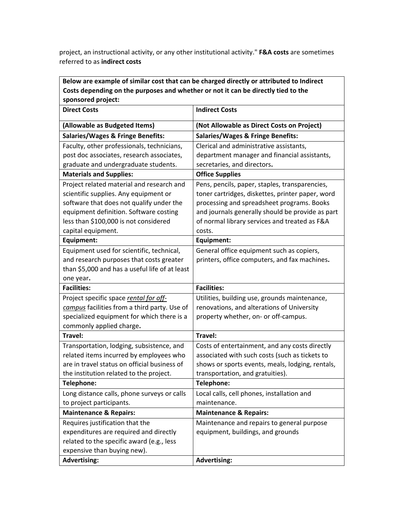project, an instructional activity, or any other institutional activity." **F&A costs** are sometimes referred to as **indirect costs**

| Below are example of similar cost that can be charged directly or attributed to Indirect |                                                  |  |
|------------------------------------------------------------------------------------------|--------------------------------------------------|--|
| Costs depending on the purposes and whether or not it can be directly tied to the        |                                                  |  |
| sponsored project:                                                                       |                                                  |  |
| <b>Direct Costs</b>                                                                      | <b>Indirect Costs</b>                            |  |
| (Allowable as Budgeted Items)                                                            | (Not Allowable as Direct Costs on Project)       |  |
| <b>Salaries/Wages &amp; Fringe Benefits:</b>                                             | <b>Salaries/Wages &amp; Fringe Benefits:</b>     |  |
| Faculty, other professionals, technicians,                                               | Clerical and administrative assistants,          |  |
| post doc associates, research associates,                                                | department manager and financial assistants,     |  |
| graduate and undergraduate students.                                                     | secretaries, and directors.                      |  |
| <b>Materials and Supplies:</b>                                                           | <b>Office Supplies</b>                           |  |
| Project related material and research and                                                | Pens, pencils, paper, staples, transparencies,   |  |
| scientific supplies. Any equipment or                                                    | toner cartridges, diskettes, printer paper, word |  |
| software that does not qualify under the                                                 | processing and spreadsheet programs. Books       |  |
| equipment definition. Software costing                                                   | and journals generally should be provide as part |  |
| less than \$100,000 is not considered                                                    | of normal library services and treated as F&A    |  |
| capital equipment.                                                                       | costs.                                           |  |
| Equipment:                                                                               | <b>Equipment:</b>                                |  |
| Equipment used for scientific, technical,                                                | General office equipment such as copiers,        |  |
| and research purposes that costs greater                                                 | printers, office computers, and fax machines.    |  |
| than \$5,000 and has a useful life of at least                                           |                                                  |  |
| one year.                                                                                |                                                  |  |
| <b>Facilities:</b>                                                                       | <b>Facilities:</b>                               |  |
| Project specific space rental for off-                                                   | Utilities, building use, grounds maintenance,    |  |
| campus facilities from a third party. Use of                                             | renovations, and alterations of University       |  |
| specialized equipment for which there is a                                               | property whether, on- or off-campus.             |  |
| commonly applied charge.                                                                 |                                                  |  |
| Travel:                                                                                  | Travel:                                          |  |
| Transportation, lodging, subsistence, and                                                | Costs of entertainment, and any costs directly   |  |
| related items incurred by employees who                                                  | associated with such costs (such as tickets to   |  |
| are in travel status on official business of                                             | shows or sports events, meals, lodging, rentals, |  |
| the institution related to the project.                                                  | transportation, and gratuities).                 |  |
| Telephone:                                                                               | Telephone:                                       |  |
| Long distance calls, phone surveys or calls                                              | Local calls, cell phones, installation and       |  |
| to project participants.                                                                 | maintenance.                                     |  |
| <b>Maintenance &amp; Repairs:</b>                                                        | <b>Maintenance &amp; Repairs:</b>                |  |
| Requires justification that the                                                          | Maintenance and repairs to general purpose       |  |
| expenditures are required and directly                                                   | equipment, buildings, and grounds                |  |
| related to the specific award (e.g., less                                                |                                                  |  |
| expensive than buying new).                                                              |                                                  |  |
| <b>Advertising:</b>                                                                      | <b>Advertising:</b>                              |  |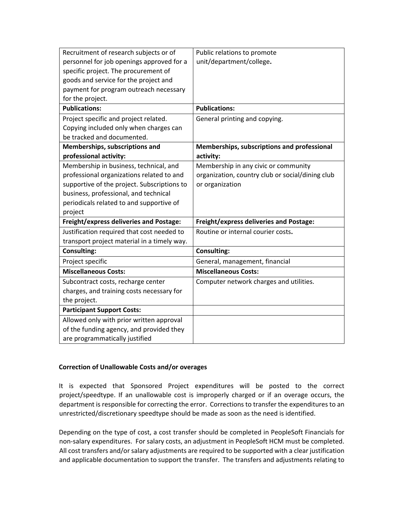| Recruitment of research subjects or of         | Public relations to promote                      |
|------------------------------------------------|--------------------------------------------------|
| personnel for job openings approved for a      | unit/department/college.                         |
| specific project. The procurement of           |                                                  |
| goods and service for the project and          |                                                  |
| payment for program outreach necessary         |                                                  |
| for the project.                               |                                                  |
| <b>Publications:</b>                           | <b>Publications:</b>                             |
| Project specific and project related.          | General printing and copying.                    |
| Copying included only when charges can         |                                                  |
| be tracked and documented.                     |                                                  |
| Memberships, subscriptions and                 | Memberships, subscriptions and professional      |
| professional activity:                         | activity:                                        |
| Membership in business, technical, and         | Membership in any civic or community             |
| professional organizations related to and      | organization, country club or social/dining club |
| supportive of the project. Subscriptions to    | or organization                                  |
| business, professional, and technical          |                                                  |
| periodicals related to and supportive of       |                                                  |
| project                                        |                                                  |
| <b>Freight/express deliveries and Postage:</b> | <b>Freight/express deliveries and Postage:</b>   |
| Justification required that cost needed to     | Routine or internal courier costs.               |
| transport project material in a timely way.    |                                                  |
| <b>Consulting:</b>                             | <b>Consulting:</b>                               |
| Project specific                               | General, management, financial                   |
| <b>Miscellaneous Costs:</b>                    | <b>Miscellaneous Costs:</b>                      |
| Subcontract costs, recharge center             | Computer network charges and utilities.          |
| charges, and training costs necessary for      |                                                  |
| the project.                                   |                                                  |
| <b>Participant Support Costs:</b>              |                                                  |
| Allowed only with prior written approval       |                                                  |
| of the funding agency, and provided they       |                                                  |
| are programmatically justified                 |                                                  |

# **Correction of Unallowable Costs and/or overages**

It is expected that Sponsored Project expenditures will be posted to the correct project/speedtype. If an unallowable cost is improperly charged or if an overage occurs, the department is responsible for correcting the error. Corrections to transfer the expenditures to an unrestricted/discretionary speedtype should be made as soon as the need is identified.

Depending on the type of cost, a cost transfer should be completed in PeopleSoft Financials for non-salary expenditures. For salary costs, an adjustment in PeopleSoft HCM must be completed. All cost transfers and/or salary adjustments are required to be supported with a clear justification and applicable documentation to support the transfer. The transfers and adjustments relating to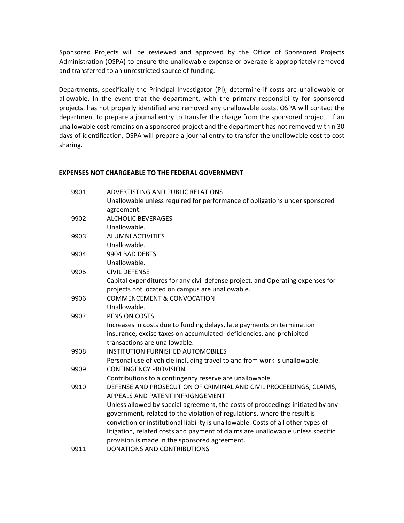Sponsored Projects will be reviewed and approved by the Office of Sponsored Projects Administration (OSPA) to ensure the unallowable expense or overage is appropriately removed and transferred to an unrestricted source of funding.

Departments, specifically the Principal Investigator (PI), determine if costs are unallowable or allowable. In the event that the department, with the primary responsibility for sponsored projects, has not properly identified and removed any unallowable costs, OSPA will contact the department to prepare a journal entry to transfer the charge from the sponsored project. If an unallowable cost remains on a sponsored project and the department has not removed within 30 days of identification, OSPA will prepare a journal entry to transfer the unallowable cost to cost sharing.

#### **EXPENSES NOT CHARGEABLE TO THE FEDERAL GOVERNMENT**

| 9901 | <b>ADVERTISTING AND PUBLIC RELATIONS</b>                                          |
|------|-----------------------------------------------------------------------------------|
|      | Unallowable unless required for performance of obligations under sponsored        |
|      | agreement.                                                                        |
| 9902 | <b>ALCHOLIC BEVERAGES</b>                                                         |
|      | Unallowable.                                                                      |
| 9903 | <b>ALUMNI ACTIVITIES</b>                                                          |
|      | Unallowable.                                                                      |
| 9904 | 9904 BAD DEBTS                                                                    |
|      | Unallowable.                                                                      |
| 9905 | <b>CIVIL DEFENSE</b>                                                              |
|      | Capital expenditures for any civil defense project, and Operating expenses for    |
|      | projects not located on campus are unallowable.                                   |
| 9906 | <b>COMMENCEMENT &amp; CONVOCATION</b>                                             |
|      | Unallowable.                                                                      |
| 9907 | <b>PENSION COSTS</b>                                                              |
|      | Increases in costs due to funding delays, late payments on termination            |
|      | insurance, excise taxes on accumulated -deficiencies, and prohibited              |
|      | transactions are unallowable.                                                     |
| 9908 | <b>INSTITUTION FURNISHED AUTOMOBILES</b>                                          |
|      | Personal use of vehicle including travel to and from work is unallowable.         |
| 9909 | <b>CONTINGENCY PROVISION</b>                                                      |
|      | Contributions to a contingency reserve are unallowable.                           |
| 9910 | DEFENSE AND PROSECUTION OF CRIMINAL AND CIVIL PROCEEDINGS, CLAIMS,                |
|      | APPEALS AND PATENT INFRIGNGEMENT                                                  |
|      | Unless allowed by special agreement, the costs of proceedings initiated by any    |
|      | government, related to the violation of regulations, where the result is          |
|      | conviction or institutional liability is unallowable. Costs of all other types of |
|      | litigation, related costs and payment of claims are unallowable unless specific   |
|      | provision is made in the sponsored agreement.                                     |
| 9911 | <b>DONATIONS AND CONTRIBUTIONS</b>                                                |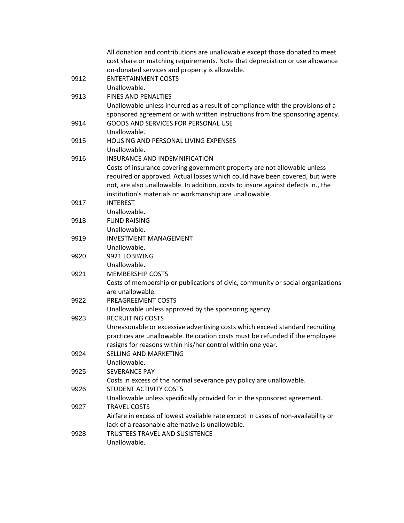|      | All donation and contributions are unallowable except those donated to meet<br>cost share or matching requirements. Note that depreciation or use allowance |
|------|-------------------------------------------------------------------------------------------------------------------------------------------------------------|
|      | on-donated services and property is allowable.                                                                                                              |
| 9912 | <b>ENTERTAINMENT COSTS</b>                                                                                                                                  |
|      | Unallowable.                                                                                                                                                |
| 9913 | <b>FINES AND PENALTIES</b>                                                                                                                                  |
|      | Unallowable unless incurred as a result of compliance with the provisions of a                                                                              |
|      | sponsored agreement or with written instructions from the sponsoring agency.                                                                                |
| 9914 | GOODS AND SERVICES FOR PERSONAL USE                                                                                                                         |
|      | Unallowable.                                                                                                                                                |
| 9915 | HOUSING AND PERSONAL LIVING EXPENSES                                                                                                                        |
|      | Unallowable.                                                                                                                                                |
| 9916 | INSURANCE AND INDEMNIFICATION                                                                                                                               |
|      | Costs of insurance covering government property are not allowable unless                                                                                    |
|      | required or approved. Actual losses which could have been covered, but were                                                                                 |
|      | not, are also unallowable. In addition, costs to insure against defects in., the                                                                            |
|      | institution's materials or workmanship are unallowable.                                                                                                     |
| 9917 | <b>INTEREST</b>                                                                                                                                             |
|      | Unallowable.                                                                                                                                                |
| 9918 | <b>FUND RAISING</b>                                                                                                                                         |
|      | Unallowable.                                                                                                                                                |
| 9919 | <b>INVESTMENT MANAGEMENT</b>                                                                                                                                |
|      | Unallowable.                                                                                                                                                |
| 9920 | 9921 LOBBYING                                                                                                                                               |
|      | Unallowable.                                                                                                                                                |
| 9921 | <b>MEMBERSHIP COSTS</b>                                                                                                                                     |
|      | Costs of membership or publications of civic, community or social organizations                                                                             |
|      | are unallowable.                                                                                                                                            |
| 9922 | PREAGREEMENT COSTS                                                                                                                                          |
|      | Unallowable unless approved by the sponsoring agency.                                                                                                       |
| 9923 | <b>RECRUITING COSTS</b>                                                                                                                                     |
|      | Unreasonable or excessive advertising costs which exceed standard recruiting                                                                                |
|      | practices are unallowable. Relocation costs must be refunded if the employee                                                                                |
|      | resigns for reasons within his/her control within one year.                                                                                                 |
| 9924 | SELLING AND MARKETING                                                                                                                                       |
|      | Unallowable.                                                                                                                                                |
| 9925 | <b>SEVERANCE PAY</b>                                                                                                                                        |
|      | Costs in excess of the normal severance pay policy are unallowable.<br>STUDENT ACTIVITY COSTS                                                               |
| 9926 | Unallowable unless specifically provided for in the sponsored agreement.                                                                                    |
| 9927 | <b>TRAVEL COSTS</b>                                                                                                                                         |
|      | Airfare in excess of lowest available rate except in cases of non-availability or                                                                           |
|      | lack of a reasonable alternative is unallowable.                                                                                                            |
| 9928 | TRUSTEES TRAVEL AND SUSISTENCE                                                                                                                              |
|      | Unallowable.                                                                                                                                                |
|      |                                                                                                                                                             |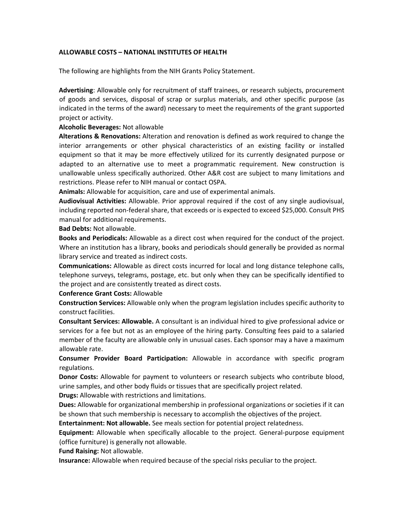# **ALLOWABLE COSTS – NATIONAL INSTITUTES OF HEALTH**

The following are highlights from the NIH Grants Policy Statement.

**Advertising**: Allowable only for recruitment of staff trainees, or research subjects, procurement of goods and services, disposal of scrap or surplus materials, and other specific purpose (as indicated in the terms of the award) necessary to meet the requirements of the grant supported project or activity.

#### **Alcoholic Beverages:** Not allowable

**Alterations & Renovations:** Alteration and renovation is defined as work required to change the interior arrangements or other physical characteristics of an existing facility or installed equipment so that it may be more effectively utilized for its currently designated purpose or adapted to an alternative use to meet a programmatic requirement. New construction is unallowable unless specifically authorized. Other A&R cost are subject to many limitations and restrictions. Please refer to NIH manual or contact OSPA.

**Animals:** Allowable for acquisition, care and use of experimental animals.

**Audiovisual Activities:** Allowable. Prior approval required if the cost of any single audiovisual, including reported non-federal share, that exceeds or is expected to exceed \$25,000. Consult PHS manual for additional requirements.

#### **Bad Debts:** Not allowable.

**Books and Periodicals:** Allowable as a direct cost when required for the conduct of the project. Where an institution has a library, books and periodicals should generally be provided as normal library service and treated as indirect costs.

**Communications:** Allowable as direct costs incurred for local and long distance telephone calls, telephone surveys, telegrams, postage, etc. but only when they can be specifically identified to the project and are consistently treated as direct costs.

**Conference Grant Costs:** Allowable

**Construction Services:** Allowable only when the program legislation includes specific authority to construct facilities.

**Consultant Services: Allowable.** A consultant is an individual hired to give professional advice or services for a fee but not as an employee of the hiring party. Consulting fees paid to a salaried member of the faculty are allowable only in unusual cases. Each sponsor may a have a maximum allowable rate.

**Consumer Provider Board Participation:** Allowable in accordance with specific program regulations.

**Donor Costs:** Allowable for payment to volunteers or research subjects who contribute blood, urine samples, and other body fluids or tissues that are specifically project related.

**Drugs:** Allowable with restrictions and limitations.

**Dues:** Allowable for organizational membership in professional organizations or societies if it can be shown that such membership is necessary to accomplish the objectives of the project.

**Entertainment: Not allowable.** See meals section for potential project relatedness.

**Equipment:** Allowable when specifically allocable to the project. General-purpose equipment (office furniture) is generally not allowable.

**Fund Raising:** Not allowable.

**Insurance:** Allowable when required because of the special risks peculiar to the project.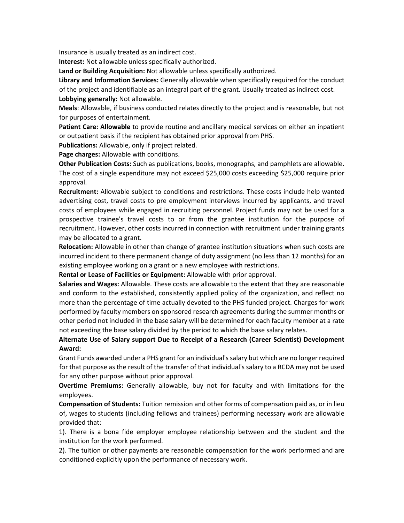Insurance is usually treated as an indirect cost.

**Interest:** Not allowable unless specifically authorized.

**Land or Building Acquisition:** Not allowable unless specifically authorized.

**Library and Information Services:** Generally allowable when specifically required for the conduct of the project and identifiable as an integral part of the grant. Usually treated as indirect cost. **Lobbying generally:** Not allowable.

**Meals**: Allowable, if business conducted relates directly to the project and is reasonable, but not for purposes of entertainment.

**Patient Care: Allowable** to provide routine and ancillary medical services on either an inpatient or outpatient basis if the recipient has obtained prior approval from PHS.

**Publications:** Allowable, only if project related.

**Page charges:** Allowable with conditions.

**Other Publication Costs:** Such as publications, books, monographs, and pamphlets are allowable. The cost of a single expenditure may not exceed \$25,000 costs exceeding \$25,000 require prior approval.

**Recruitment:** Allowable subject to conditions and restrictions. These costs include help wanted advertising cost, travel costs to pre employment interviews incurred by applicants, and travel costs of employees while engaged in recruiting personnel. Project funds may not be used for a prospective trainee's travel costs to or from the grantee institution for the purpose of recruitment. However, other costs incurred in connection with recruitment under training grants may be allocated to a grant.

**Relocation:** Allowable in other than change of grantee institution situations when such costs are incurred incident to there permanent change of duty assignment (no less than 12 months) for an existing employee working on a grant or a new employee with restrictions.

**Rental or Lease of Facilities or Equipment:** Allowable with prior approval.

**Salaries and Wages:** Allowable. These costs are allowable to the extent that they are reasonable and conform to the established, consistently applied policy of the organization, and reflect no more than the percentage of time actually devoted to the PHS funded project. Charges for work performed by faculty members on sponsored research agreements during the summer months or other period not included in the base salary will be determined for each faculty member at a rate not exceeding the base salary divided by the period to which the base salary relates.

# **Alternate Use of Salary support Due to Receipt of a Research (Career Scientist) Development Award:**

Grant Funds awarded under a PHS grant for an individual's salary but which are no longer required for that purpose as the result of the transfer of that individual's salary to a RCDA may not be used for any other purpose without prior approval.

**Overtime Premiums:** Generally allowable, buy not for faculty and with limitations for the employees.

**Compensation of Students:** Tuition remission and other forms of compensation paid as, or in lieu of, wages to students (including fellows and trainees) performing necessary work are allowable provided that:

1). There is a bona fide employer employee relationship between and the student and the institution for the work performed.

2). The tuition or other payments are reasonable compensation for the work performed and are conditioned explicitly upon the performance of necessary work.